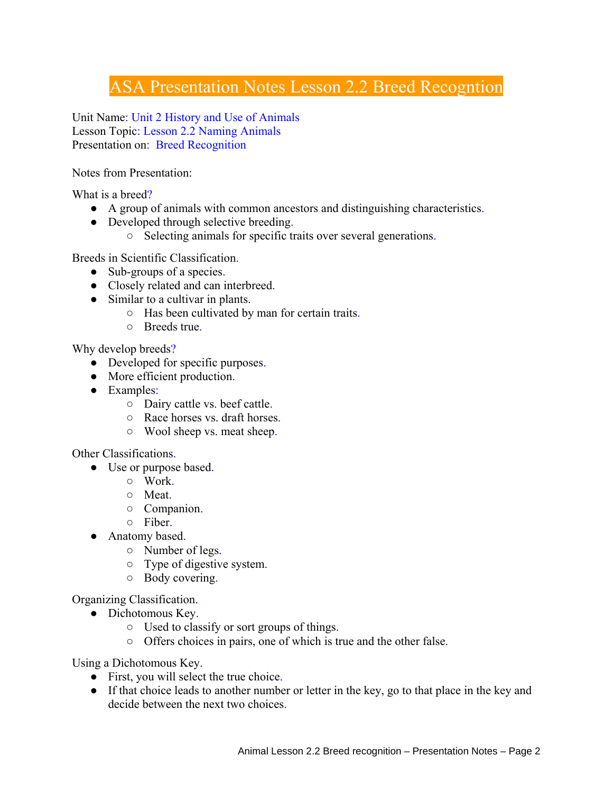## ASA Presentation Notes Lesson 2.2 Breed Recogntion

Unit Name: Unit 2 History and Use of Animals Lesson Topic: Lesson 2.2 Naming Animals Presentation on: Breed Recognition

Notes from Presentation:

What is a breed?

- A group of animals with common ancestors and distinguishing characteristics.
- Developed through selective breeding.
	- Selecting animals for specific traits over several generations.

Breeds in Scientific Classification.

- Sub-groups of a species.
- Closely related and can interbreed.
- Similar to a cultivar in plants.
	- Has been cultivated by man for certain traits.
	- Breeds true.

Why develop breeds?

- Developed for specific purposes.
- More efficient production.
- Examples:
	- Dairy cattle vs. beef cattle.
	- Race horses vs. draft horses.
	- Wool sheep vs. meat sheep.

Other Classifications.

- Use or purpose based.
	- Work.
	- Meat.
	- Companion.
	- Fiber.
- Anatomy based.
	- Number of legs.
	- Type of digestive system.
	- Body covering.

Organizing Classification.

- Dichotomous Key.
	- Used to classify or sort groups of things.
	- Offers choices in pairs, one of which is true and the other false.

Using a Dichotomous Key.

- First, you will select the true choice.
- If that choice leads to another number or letter in the key, go to that place in the key and decide between the next two choices.